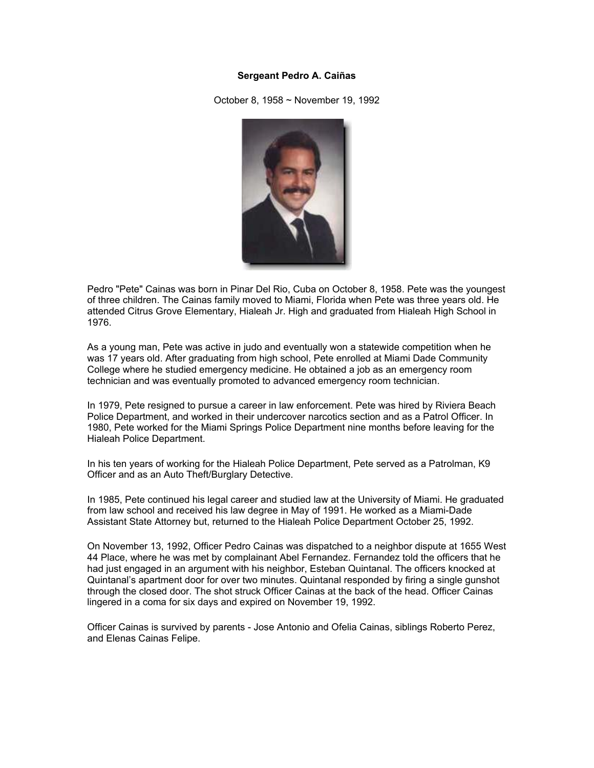## **Sergeant Pedro A. Caiñas**

October 8, 1958 ~ November 19, 1992



Pedro "Pete" Cainas was born in Pinar Del Rio, Cuba on October 8, 1958. Pete was the youngest of three children. The Cainas family moved to Miami, Florida when Pete was three years old. He attended Citrus Grove Elementary, Hialeah Jr. High and graduated from Hialeah High School in 1976.

As a young man, Pete was active in judo and eventually won a statewide competition when he was 17 years old. After graduating from high school, Pete enrolled at Miami Dade Community College where he studied emergency medicine. He obtained a job as an emergency room technician and was eventually promoted to advanced emergency room technician.

In 1979, Pete resigned to pursue a career in law enforcement. Pete was hired by Riviera Beach Police Department, and worked in their undercover narcotics section and as a Patrol Officer. In 1980, Pete worked for the Miami Springs Police Department nine months before leaving for the Hialeah Police Department.

In his ten years of working for the Hialeah Police Department, Pete served as a Patrolman, K9 Officer and as an Auto Theft/Burglary Detective.

In 1985, Pete continued his legal career and studied law at the University of Miami. He graduated from law school and received his law degree in May of 1991. He worked as a Miami-Dade Assistant State Attorney but, returned to the Hialeah Police Department October 25, 1992.

On November 13, 1992, Officer Pedro Cainas was dispatched to a neighbor dispute at 1655 West 44 Place, where he was met by complainant Abel Fernandez. Fernandez told the officers that he had just engaged in an argument with his neighbor, Esteban Quintanal. The officers knocked at Quintanal's apartment door for over two minutes. Quintanal responded by firing a single gunshot through the closed door. The shot struck Officer Cainas at the back of the head. Officer Cainas lingered in a coma for six days and expired on November 19, 1992.

Officer Cainas is survived by parents - Jose Antonio and Ofelia Cainas, siblings Roberto Perez, and Elenas Cainas Felipe.